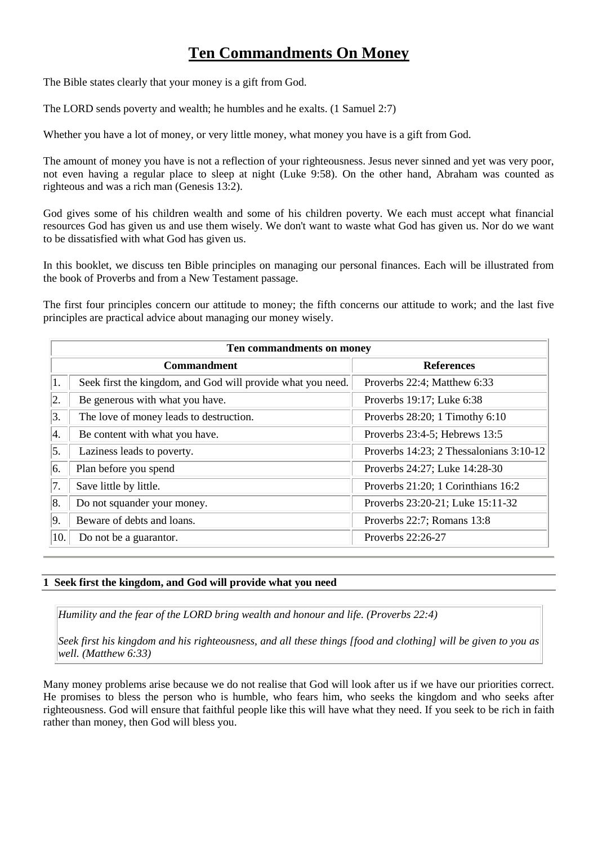# **Ten Commandments On Money**

The Bible states clearly that your money is a gift from God.

The LORD sends poverty and wealth; he humbles and he exalts. (1 Samuel 2:7)

Whether you have a lot of money, or very little money, what money you have is a gift from God.

The amount of money you have is not a reflection of your righteousness. Jesus never sinned and yet was very poor, not even having a regular place to sleep at night (Luke 9:58). On the other hand, Abraham was counted as righteous and was a rich man (Genesis 13:2).

God gives some of his children wealth and some of his children poverty. We each must accept what financial resources God has given us and use them wisely. We don't want to waste what God has given us. Nor do we want to be dissatisfied with what God has given us.

In this booklet, we discuss ten Bible principles on managing our personal finances. Each will be illustrated from the book of Proverbs and from a New Testament passage.

The first four principles concern our attitude to money; the fifth concerns our attitude to work; and the last five principles are practical advice about managing our money wisely.

| Ten commandments on money |                                                             |                                         |  |  |  |  |
|---------------------------|-------------------------------------------------------------|-----------------------------------------|--|--|--|--|
|                           | <b>Commandment</b>                                          | <b>References</b>                       |  |  |  |  |
| 1.                        | Seek first the kingdom, and God will provide what you need. | Proverbs 22:4; Matthew 6:33             |  |  |  |  |
| 2.                        | Be generous with what you have.                             | Proverbs 19:17; Luke 6:38               |  |  |  |  |
| 3.                        | The love of money leads to destruction.                     | Proverbs $28:20$ ; 1 Timothy $6:10$     |  |  |  |  |
| 4.                        | Be content with what you have.                              | Proverbs 23:4-5; Hebrews 13:5           |  |  |  |  |
| 5.                        | Laziness leads to poverty.                                  | Proverbs 14:23; 2 Thessalonians 3:10-12 |  |  |  |  |
| 16.                       | Plan before you spend                                       | Proverbs 24:27; Luke 14:28-30           |  |  |  |  |
| 17.                       | Save little by little.                                      | Proverbs 21:20; 1 Corinthians 16:2      |  |  |  |  |
| 8.                        | Do not squander your money.                                 | Proverbs 23:20-21; Luke 15:11-32        |  |  |  |  |
| 9.                        | Beware of debts and loans.                                  | Proverbs 22:7; Romans 13:8              |  |  |  |  |
| 10.                       | Do not be a guarantor.                                      | Proverbs 22:26-27                       |  |  |  |  |

## **1 Seek first the kingdom, and God will provide what you need**

*Humility and the fear of the LORD bring wealth and honour and life. (Proverbs 22:4)* 

*Seek first his kingdom and his righteousness, and all these things [food and clothing] will be given to you as well. (Matthew 6:33)* 

Many money problems arise because we do not realise that God will look after us if we have our priorities correct. He promises to bless the person who is humble, who fears him, who seeks the kingdom and who seeks after righteousness. God will ensure that faithful people like this will have what they need. If you seek to be rich in faith rather than money, then God will bless you.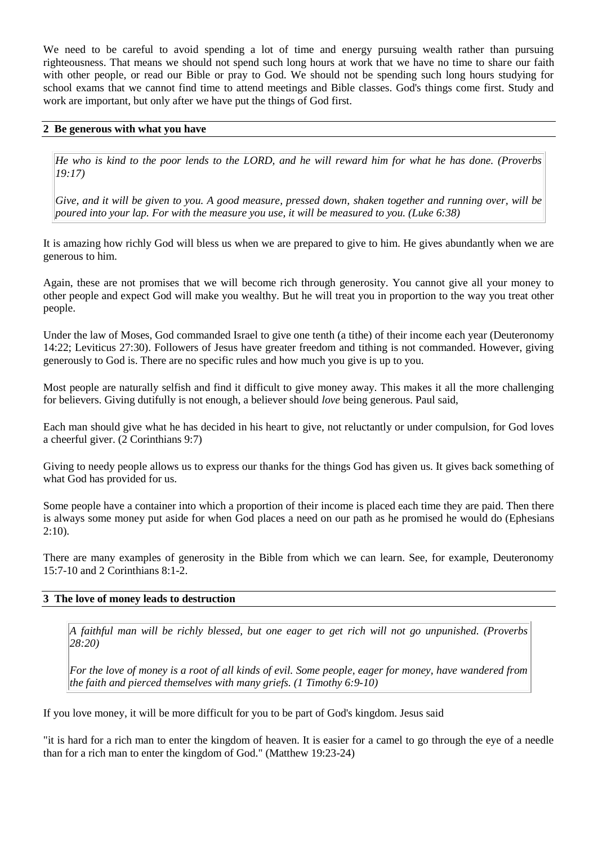We need to be careful to avoid spending a lot of time and energy pursuing wealth rather than pursuing righteousness. That means we should not spend such long hours at work that we have no time to share our faith with other people, or read our Bible or pray to God. We should not be spending such long hours studying for school exams that we cannot find time to attend meetings and Bible classes. God's things come first. Study and work are important, but only after we have put the things of God first.

# **2 Be generous with what you have**

*He who is kind to the poor lends to the LORD, and he will reward him for what he has done. (Proverbs 19:17)* 

*Give, and it will be given to you. A good measure, pressed down, shaken together and running over, will be poured into your lap. For with the measure you use, it will be measured to you. (Luke 6:38)* 

It is amazing how richly God will bless us when we are prepared to give to him. He gives abundantly when we are generous to him.

Again, these are not promises that we will become rich through generosity. You cannot give all your money to other people and expect God will make you wealthy. But he will treat you in proportion to the way you treat other people.

Under the law of Moses, God commanded Israel to give one tenth (a tithe) of their income each year (Deuteronomy 14:22; Leviticus 27:30). Followers of Jesus have greater freedom and tithing is not commanded. However, giving generously to God is. There are no specific rules and how much you give is up to you.

Most people are naturally selfish and find it difficult to give money away. This makes it all the more challenging for believers. Giving dutifully is not enough, a believer should *love* being generous. Paul said,

Each man should give what he has decided in his heart to give, not reluctantly or under compulsion, for God loves a cheerful giver. (2 Corinthians 9:7)

Giving to needy people allows us to express our thanks for the things God has given us. It gives back something of what God has provided for us.

Some people have a container into which a proportion of their income is placed each time they are paid. Then there is always some money put aside for when God places a need on our path as he promised he would do (Ephesians  $2:10$ ).

There are many examples of generosity in the Bible from which we can learn. See, for example, Deuteronomy 15:7-10 and 2 Corinthians 8:1-2.

## **3 The love of money leads to destruction**

*A faithful man will be richly blessed, but one eager to get rich will not go unpunished. (Proverbs 28:20)* 

*For the love of money is a root of all kinds of evil. Some people, eager for money, have wandered from the faith and pierced themselves with many griefs. (1 Timothy 6:9-10)* 

If you love money, it will be more difficult for you to be part of God's kingdom. Jesus said

"it is hard for a rich man to enter the kingdom of heaven. It is easier for a camel to go through the eye of a needle than for a rich man to enter the kingdom of God." (Matthew 19:23-24)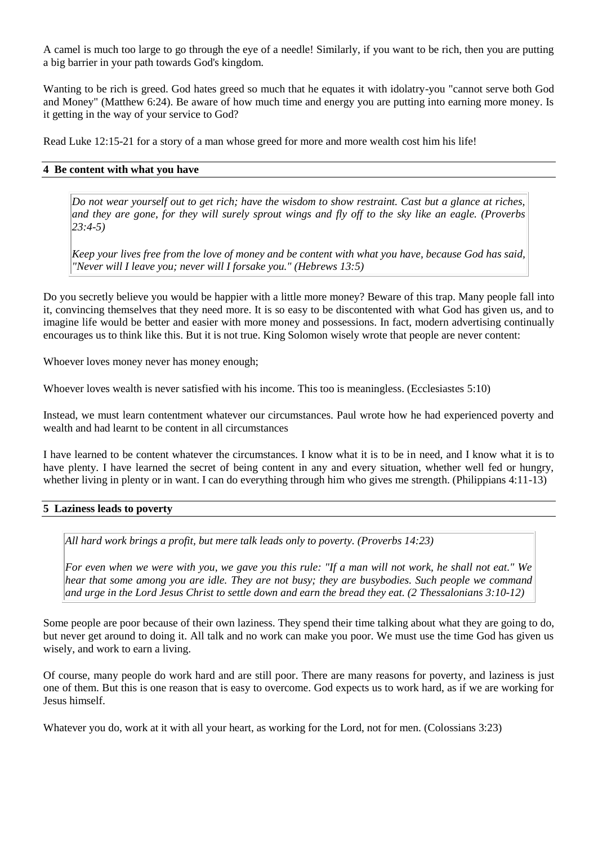A camel is much too large to go through the eye of a needle! Similarly, if you want to be rich, then you are putting a big barrier in your path towards God's kingdom.

Wanting to be rich is greed. God hates greed so much that he equates it with idolatry-you "cannot serve both God and Money" (Matthew 6:24). Be aware of how much time and energy you are putting into earning more money. Is it getting in the way of your service to God?

Read Luke 12:15-21 for a story of a man whose greed for more and more wealth cost him his life!

## **4 Be content with what you have**

*Do not wear yourself out to get rich; have the wisdom to show restraint. Cast but a glance at riches, and they are gone, for they will surely sprout wings and fly off to the sky like an eagle. (Proverbs 23:4-5)* 

*Keep your lives free from the love of money and be content with what you have, because God has said, "Never will I leave you; never will I forsake you." (Hebrews 13:5)* 

Do you secretly believe you would be happier with a little more money? Beware of this trap. Many people fall into it, convincing themselves that they need more. It is so easy to be discontented with what God has given us, and to imagine life would be better and easier with more money and possessions. In fact, modern advertising continually encourages us to think like this. But it is not true. King Solomon wisely wrote that people are never content:

Whoever loves money never has money enough;

Whoever loves wealth is never satisfied with his income. This too is meaningless. (Ecclesiastes 5:10)

Instead, we must learn contentment whatever our circumstances. Paul wrote how he had experienced poverty and wealth and had learnt to be content in all circumstances

I have learned to be content whatever the circumstances. I know what it is to be in need, and I know what it is to have plenty. I have learned the secret of being content in any and every situation, whether well fed or hungry, whether living in plenty or in want. I can do everything through him who gives me strength. (Philippians 4:11-13)

# **5 Laziness leads to poverty**

*All hard work brings a profit, but mere talk leads only to poverty. (Proverbs 14:23)* 

*For even when we were with you, we gave you this rule: "If a man will not work, he shall not eat." We hear that some among you are idle. They are not busy; they are busybodies. Such people we command and urge in the Lord Jesus Christ to settle down and earn the bread they eat. (2 Thessalonians 3:10-12)* 

Some people are poor because of their own laziness. They spend their time talking about what they are going to do, but never get around to doing it. All talk and no work can make you poor. We must use the time God has given us wisely, and work to earn a living.

Of course, many people do work hard and are still poor. There are many reasons for poverty, and laziness is just one of them. But this is one reason that is easy to overcome. God expects us to work hard, as if we are working for Jesus himself.

Whatever you do, work at it with all your heart, as working for the Lord, not for men. (Colossians 3:23)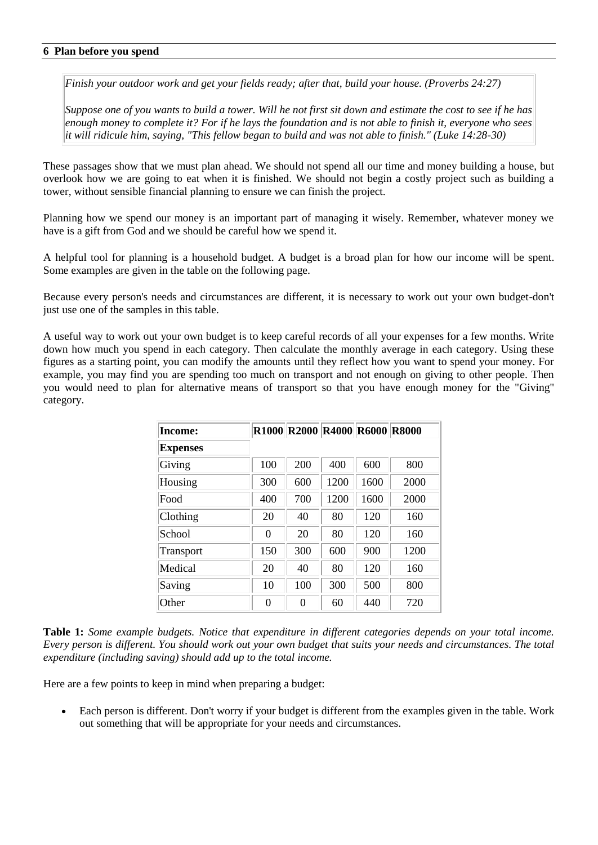# **6 Plan before you spend**

*Finish your outdoor work and get your fields ready; after that, build your house. (Proverbs 24:27)* 

*Suppose one of you wants to build a tower. Will he not first sit down and estimate the cost to see if he has enough money to complete it? For if he lays the foundation and is not able to finish it, everyone who sees it will ridicule him, saying, "This fellow began to build and was not able to finish." (Luke 14:28-30)* 

These passages show that we must plan ahead. We should not spend all our time and money building a house, but overlook how we are going to eat when it is finished. We should not begin a costly project such as building a tower, without sensible financial planning to ensure we can finish the project.

Planning how we spend our money is an important part of managing it wisely. Remember, whatever money we have is a gift from God and we should be careful how we spend it.

A helpful tool for planning is a household budget. A budget is a broad plan for how our income will be spent. Some examples are given in the table on the following page.

Because every person's needs and circumstances are different, it is necessary to work out your own budget-don't just use one of the samples in this table.

A useful way to work out your own budget is to keep careful records of all your expenses for a few months. Write down how much you spend in each category. Then calculate the monthly average in each category. Using these figures as a starting point, you can modify the amounts until they reflect how you want to spend your money. For example, you may find you are spending too much on transport and not enough on giving to other people. Then you would need to plan for alternative means of transport so that you have enough money for the "Giving" category.

| Income:         |          | R1000 R2000 R4000 R6000 R8000 |      |      |      |
|-----------------|----------|-------------------------------|------|------|------|
| <b>Expenses</b> |          |                               |      |      |      |
| Giving          | 100      | 200                           | 400  | 600  | 800  |
| Housing         | 300      | 600                           | 1200 | 1600 | 2000 |
| Food            | 400      | 700                           | 1200 | 1600 | 2000 |
| Clothing        | 20       | 40                            | 80   | 120  | 160  |
| School          | 0        | 20                            | 80   | 120  | 160  |
| Transport       | 150      | 300                           | 600  | 900  | 1200 |
| Medical         | 20       | 40                            | 80   | 120  | 160  |
| Saving          | 10       | 100                           | 300  | 500  | 800  |
| Other           | $\Omega$ | 0                             | 60   | 440  | 720  |

**Table 1:** *Some example budgets. Notice that expenditure in different categories depends on your total income. Every person is different. You should work out your own budget that suits your needs and circumstances. The total expenditure (including saving) should add up to the total income.*

Here are a few points to keep in mind when preparing a budget:

 Each person is different. Don't worry if your budget is different from the examples given in the table. Work out something that will be appropriate for your needs and circumstances.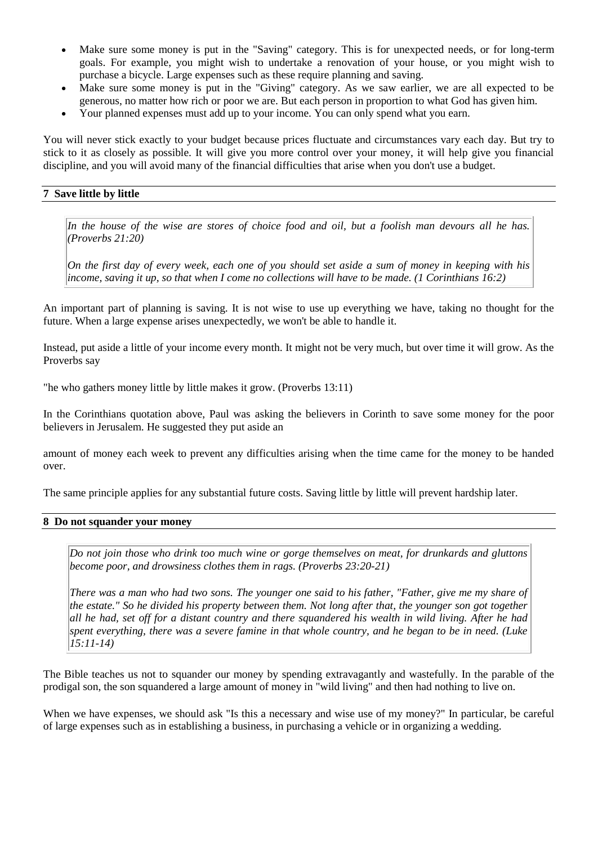- Make sure some money is put in the "Saving" category. This is for unexpected needs, or for long-term goals. For example, you might wish to undertake a renovation of your house, or you might wish to purchase a bicycle. Large expenses such as these require planning and saving.
- Make sure some money is put in the "Giving" category. As we saw earlier, we are all expected to be generous, no matter how rich or poor we are. But each person in proportion to what God has given him.
- Your planned expenses must add up to your income. You can only spend what you earn.

You will never stick exactly to your budget because prices fluctuate and circumstances vary each day. But try to stick to it as closely as possible. It will give you more control over your money, it will help give you financial discipline, and you will avoid many of the financial difficulties that arise when you don't use a budget.

# **7 Save little by little**

*In the house of the wise are stores of choice food and oil, but a foolish man devours all he has. (Proverbs 21:20)* 

*On the first day of every week, each one of you should set aside a sum of money in keeping with his income, saving it up, so that when I come no collections will have to be made. (1 Corinthians 16:2)* 

An important part of planning is saving. It is not wise to use up everything we have, taking no thought for the future. When a large expense arises unexpectedly, we won't be able to handle it.

Instead, put aside a little of your income every month. It might not be very much, but over time it will grow. As the Proverbs say

"he who gathers money little by little makes it grow. (Proverbs 13:11)

In the Corinthians quotation above, Paul was asking the believers in Corinth to save some money for the poor believers in Jerusalem. He suggested they put aside an

amount of money each week to prevent any difficulties arising when the time came for the money to be handed over.

The same principle applies for any substantial future costs. Saving little by little will prevent hardship later.

## **8 Do not squander your money**

*Do not join those who drink too much wine or gorge themselves on meat, for drunkards and gluttons become poor, and drowsiness clothes them in rags. (Proverbs 23:20-21)* 

*There was a man who had two sons. The younger one said to his father, "Father, give me my share of the estate." So he divided his property between them. Not long after that, the younger son got together all he had, set off for a distant country and there squandered his wealth in wild living. After he had spent everything, there was a severe famine in that whole country, and he began to be in need. (Luke 15:11-14)* 

The Bible teaches us not to squander our money by spending extravagantly and wastefully. In the parable of the prodigal son, the son squandered a large amount of money in "wild living" and then had nothing to live on.

When we have expenses, we should ask "Is this a necessary and wise use of my money?" In particular, be careful of large expenses such as in establishing a business, in purchasing a vehicle or in organizing a wedding.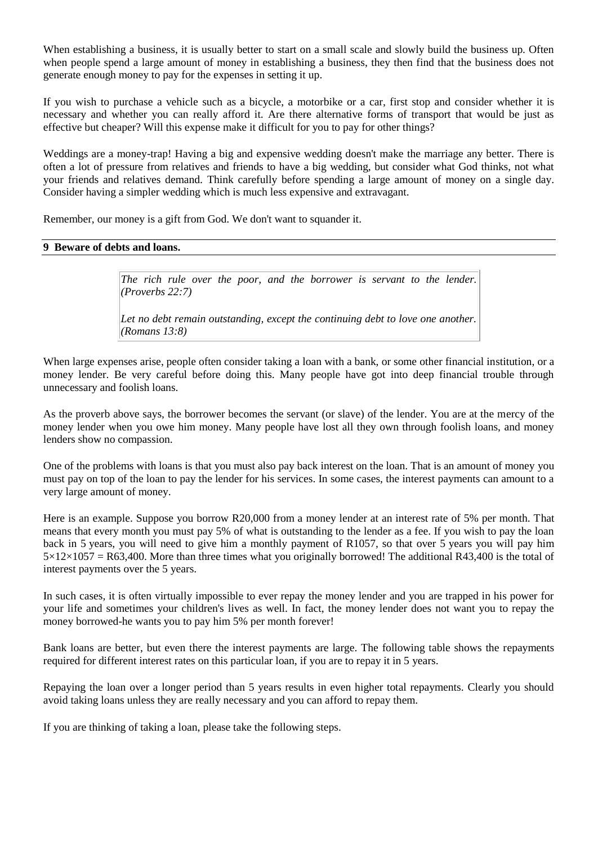When establishing a business, it is usually better to start on a small scale and slowly build the business up. Often when people spend a large amount of money in establishing a business, they then find that the business does not generate enough money to pay for the expenses in setting it up.

If you wish to purchase a vehicle such as a bicycle, a motorbike or a car, first stop and consider whether it is necessary and whether you can really afford it. Are there alternative forms of transport that would be just as effective but cheaper? Will this expense make it difficult for you to pay for other things?

Weddings are a money-trap! Having a big and expensive wedding doesn't make the marriage any better. There is often a lot of pressure from relatives and friends to have a big wedding, but consider what God thinks, not what your friends and relatives demand. Think carefully before spending a large amount of money on a single day. Consider having a simpler wedding which is much less expensive and extravagant.

Remember, our money is a gift from God. We don't want to squander it.

#### **9 Beware of debts and loans.**

The rich rule over the poor, and the borrower is servant to the lender. *(Proverbs 22:7)* 

Let no debt remain outstanding, except the continuing debt to love one another. *(Romans 13:8)* 

When large expenses arise, people often consider taking a loan with a bank, or some other financial institution, or a money lender. Be very careful before doing this. Many people have got into deep financial trouble through unnecessary and foolish loans.

As the proverb above says, the borrower becomes the servant (or slave) of the lender. You are at the mercy of the money lender when you owe him money. Many people have lost all they own through foolish loans, and money lenders show no compassion.

One of the problems with loans is that you must also pay back interest on the loan. That is an amount of money you must pay on top of the loan to pay the lender for his services. In some cases, the interest payments can amount to a very large amount of money.

Here is an example. Suppose you borrow R20,000 from a money lender at an interest rate of 5% per month. That means that every month you must pay 5% of what is outstanding to the lender as a fee. If you wish to pay the loan back in 5 years, you will need to give him a monthly payment of R1057, so that over 5 years you will pay him  $5\times12\times1057 =$  R63,400. More than three times what you originally borrowed! The additional R43,400 is the total of interest payments over the 5 years.

In such cases, it is often virtually impossible to ever repay the money lender and you are trapped in his power for your life and sometimes your children's lives as well. In fact, the money lender does not want you to repay the money borrowed-he wants you to pay him 5% per month forever!

Bank loans are better, but even there the interest payments are large. The following table shows the repayments required for different interest rates on this particular loan, if you are to repay it in 5 years.

Repaying the loan over a longer period than 5 years results in even higher total repayments. Clearly you should avoid taking loans unless they are really necessary and you can afford to repay them.

If you are thinking of taking a loan, please take the following steps.